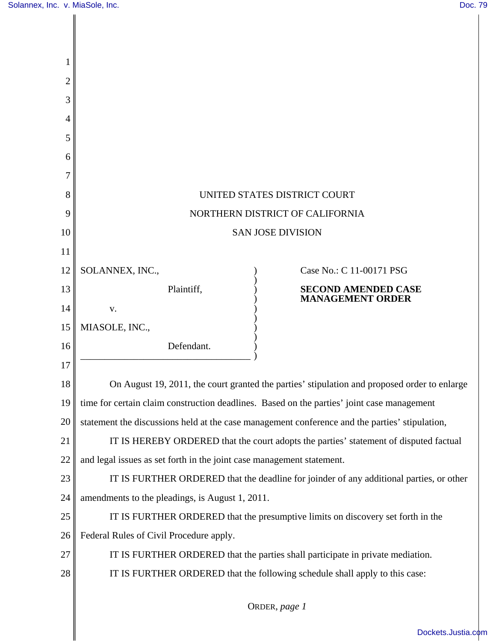| 1              |                                                                                                |  |  |  |
|----------------|------------------------------------------------------------------------------------------------|--|--|--|
| $\overline{c}$ |                                                                                                |  |  |  |
| 3              |                                                                                                |  |  |  |
| 4              |                                                                                                |  |  |  |
| 5              |                                                                                                |  |  |  |
| 6              |                                                                                                |  |  |  |
| 7              |                                                                                                |  |  |  |
| 8              | UNITED STATES DISTRICT COURT                                                                   |  |  |  |
| 9              | NORTHERN DISTRICT OF CALIFORNIA                                                                |  |  |  |
| 10             | <b>SAN JOSE DIVISION</b>                                                                       |  |  |  |
| 11             |                                                                                                |  |  |  |
| 12             | SOLANNEX, INC.,<br>Case No.: C 11-00171 PSG                                                    |  |  |  |
| 13             | Plaintiff,<br><b>SECOND AMENDED CASE</b><br><b>MANAGEMENT ORDER</b>                            |  |  |  |
| 14             | V.                                                                                             |  |  |  |
| 15             | MIASOLE, INC.,                                                                                 |  |  |  |
| 16             | Defendant.                                                                                     |  |  |  |
| 17             |                                                                                                |  |  |  |
| 18             | On August 19, 2011, the court granted the parties' stipulation and proposed order to enlarge   |  |  |  |
| 19             | time for certain claim construction deadlines. Based on the parties' joint case management     |  |  |  |
| 20             | statement the discussions held at the case management conference and the parties' stipulation, |  |  |  |
| 21             | IT IS HEREBY ORDERED that the court adopts the parties' statement of disputed factual          |  |  |  |
| 22             | and legal issues as set forth in the joint case management statement.                          |  |  |  |
| 23             | IT IS FURTHER ORDERED that the deadline for joinder of any additional parties, or other        |  |  |  |
| 24             | amendments to the pleadings, is August 1, 2011.                                                |  |  |  |
| 25             | IT IS FURTHER ORDERED that the presumptive limits on discovery set forth in the                |  |  |  |
| 26             | Federal Rules of Civil Procedure apply.                                                        |  |  |  |
| 27             | IT IS FURTHER ORDERED that the parties shall participate in private mediation.                 |  |  |  |
| 28             | IT IS FURTHER ORDERED that the following schedule shall apply to this case:                    |  |  |  |
|                | ORDER, page 1                                                                                  |  |  |  |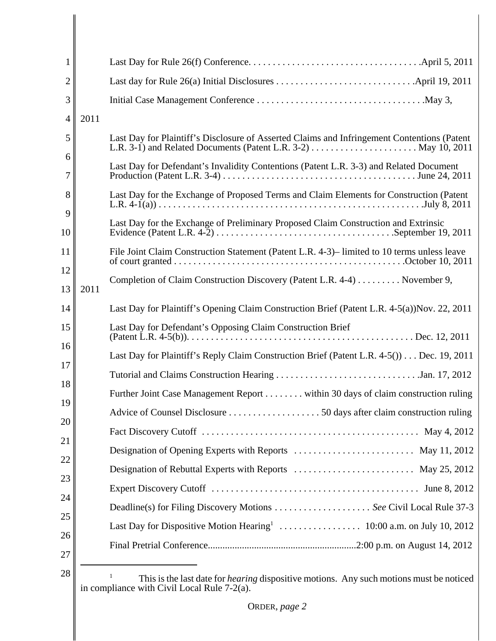| 1                |                                                                                                                                                                                                                 |
|------------------|-----------------------------------------------------------------------------------------------------------------------------------------------------------------------------------------------------------------|
| $\overline{2}$   |                                                                                                                                                                                                                 |
| 3                |                                                                                                                                                                                                                 |
| 2011<br>4        |                                                                                                                                                                                                                 |
| 5                | Last Day for Plaintiff's Disclosure of Asserted Claims and Infringement Contentions (Patent<br>L.R. 3-1) and Related Documents (Patent L.R. 3-2) $\dots \dots \dots \dots \dots \dots \dots \dots$ May 10, 2011 |
| 6<br>7           | Last Day for Defendant's Invalidity Contentions (Patent L.R. 3-3) and Related Document                                                                                                                          |
| 8                | Last Day for the Exchange of Proposed Terms and Claim Elements for Construction (Patent                                                                                                                         |
| 9<br>10          | Last Day for the Exchange of Preliminary Proposed Claim Construction and Extrinsic                                                                                                                              |
| 11               | File Joint Claim Construction Statement (Patent L.R. 4-3)– limited to 10 terms unless leave                                                                                                                     |
| 12<br>13<br>2011 | Completion of Claim Construction Discovery (Patent L.R. 4-4) November 9,                                                                                                                                        |
| 14               | Last Day for Plaintiff's Opening Claim Construction Brief (Patent L.R. 4-5(a))Nov. 22, 2011                                                                                                                     |
| 15               | Last Day for Defendant's Opposing Claim Construction Brief                                                                                                                                                      |
| 16               | Last Day for Plaintiff's Reply Claim Construction Brief (Patent L.R. 4-5()) Dec. 19, 2011                                                                                                                       |
| 17               |                                                                                                                                                                                                                 |
| 18               | Further Joint Case Management Report within 30 days of claim construction ruling                                                                                                                                |
| 19<br>20         |                                                                                                                                                                                                                 |
|                  |                                                                                                                                                                                                                 |
|                  | Designation of Opening Experts with Reports  May 11, 2012                                                                                                                                                       |
|                  | Designation of Rebuttal Experts with Reports  May 25, 2012                                                                                                                                                      |
|                  |                                                                                                                                                                                                                 |
|                  |                                                                                                                                                                                                                 |
|                  |                                                                                                                                                                                                                 |
| 26               |                                                                                                                                                                                                                 |
| 28               | This is the last date for <i>hearing</i> dispositive motions. Any such motions must be noticed<br>in compliance with Civil Local Rule 7-2(a).                                                                   |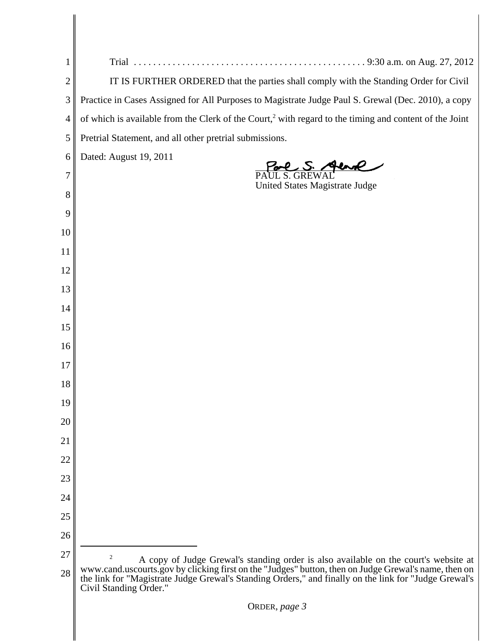| 1              | 9:30 a.m. on Aug. 27, 2012<br>Trial                                                                                                                                                                                                     |  |  |  |
|----------------|-----------------------------------------------------------------------------------------------------------------------------------------------------------------------------------------------------------------------------------------|--|--|--|
| $\overline{2}$ |                                                                                                                                                                                                                                         |  |  |  |
|                | IT IS FURTHER ORDERED that the parties shall comply with the Standing Order for Civil                                                                                                                                                   |  |  |  |
| 3              | Practice in Cases Assigned for All Purposes to Magistrate Judge Paul S. Grewal (Dec. 2010), a copy                                                                                                                                      |  |  |  |
| 4              | of which is available from the Clerk of the Court, <sup>2</sup> with regard to the timing and content of the Joint                                                                                                                      |  |  |  |
| 5              | Pretrial Statement, and all other pretrial submissions.                                                                                                                                                                                 |  |  |  |
| 6              | Dated: August 19, 2011                                                                                                                                                                                                                  |  |  |  |
| 7              | United States Magistrate Judge                                                                                                                                                                                                          |  |  |  |
| 8              |                                                                                                                                                                                                                                         |  |  |  |
| 9              |                                                                                                                                                                                                                                         |  |  |  |
| 10             |                                                                                                                                                                                                                                         |  |  |  |
| 11             |                                                                                                                                                                                                                                         |  |  |  |
| 12             |                                                                                                                                                                                                                                         |  |  |  |
| 13             |                                                                                                                                                                                                                                         |  |  |  |
| 14             |                                                                                                                                                                                                                                         |  |  |  |
| 15             |                                                                                                                                                                                                                                         |  |  |  |
| 16             |                                                                                                                                                                                                                                         |  |  |  |
| 17             |                                                                                                                                                                                                                                         |  |  |  |
| 18             |                                                                                                                                                                                                                                         |  |  |  |
| 19             |                                                                                                                                                                                                                                         |  |  |  |
| 20             |                                                                                                                                                                                                                                         |  |  |  |
|                |                                                                                                                                                                                                                                         |  |  |  |
| 21             |                                                                                                                                                                                                                                         |  |  |  |
| 22             |                                                                                                                                                                                                                                         |  |  |  |
| 23             |                                                                                                                                                                                                                                         |  |  |  |
| 24             |                                                                                                                                                                                                                                         |  |  |  |
| 25             |                                                                                                                                                                                                                                         |  |  |  |
| 26             |                                                                                                                                                                                                                                         |  |  |  |
| 27             | $\overline{c}$<br>A copy of Judge Grewal's standing order is also available on the court's website at                                                                                                                                   |  |  |  |
| 28             | www.cand.uscourts.gov by clicking first on the "Judges" button, then on Judge Grewal's name, then on<br>the link for "Magistrate Judge Grewal's Standing Orders," and finally on the link for "Judge Grewal's<br>Civil Standing Order." |  |  |  |